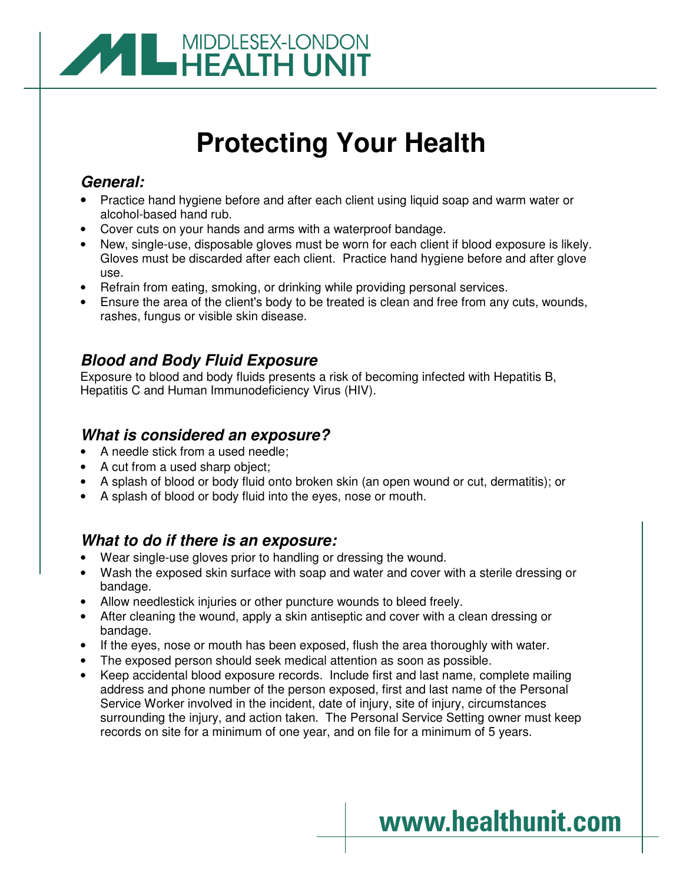

# **Protecting Your Health**

## **General:**

- Practice hand hygiene before and after each client using liquid soap and warm water or alcohol-based hand rub.
- Cover cuts on your hands and arms with a waterproof bandage.
- New, single-use, disposable gloves must be worn for each client if blood exposure is likely. Gloves must be discarded after each client. Practice hand hygiene before and after glove use.
- Refrain from eating, smoking, or drinking while providing personal services.
- Ensure the area of the client's body to be treated is clean and free from any cuts, wounds, rashes, fungus or visible skin disease.

## **Blood and Body Fluid Exposure**

Exposure to blood and body fluids presents a risk of becoming infected with Hepatitis B, Hepatitis C and Human Immunodeficiency Virus (HIV).

## **What is considered an exposure?**

- A needle stick from a used needle;
- A cut from a used sharp object;
- A splash of blood or body fluid onto broken skin (an open wound or cut, dermatitis); or
- A splash of blood or body fluid into the eyes, nose or mouth.

### **What to do if there is an exposure:**

- Wear single-use gloves prior to handling or dressing the wound.
- Wash the exposed skin surface with soap and water and cover with a sterile dressing or bandage.
- Allow needlestick injuries or other puncture wounds to bleed freely.
- After cleaning the wound, apply a skin antiseptic and cover with a clean dressing or bandage.
- If the eyes, nose or mouth has been exposed, flush the area thoroughly with water.
- The exposed person should seek medical attention as soon as possible.
- Keep accidental blood exposure records. Include first and last name, complete mailing address and phone number of the person exposed, first and last name of the Personal Service Worker involved in the incident, date of injury, site of injury, circumstances surrounding the injury, and action taken. The Personal Service Setting owner must keep records on site for a minimum of one year, and on file for a minimum of 5 years.

# www.healthunit.com